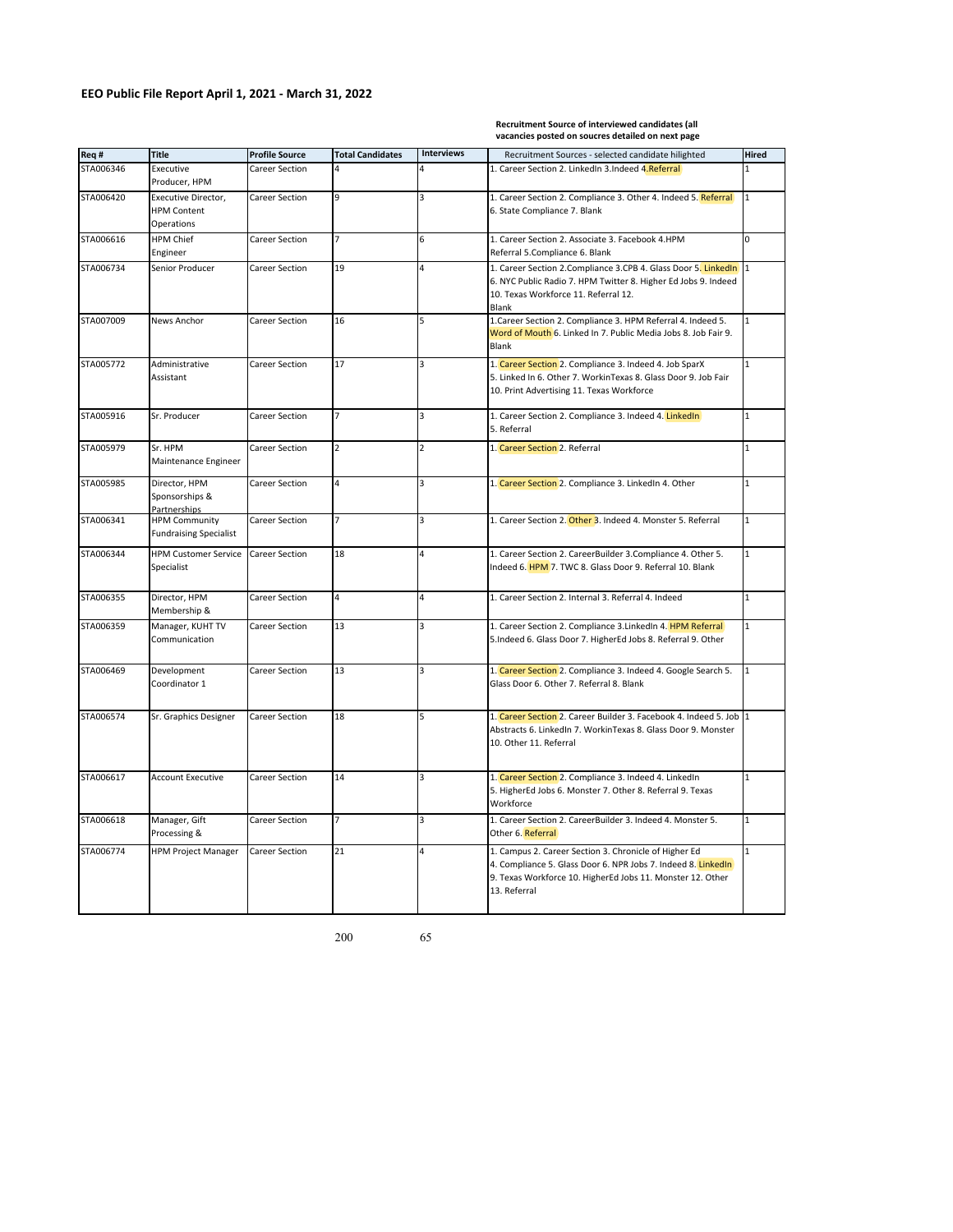## **Recruitment Source of interviewed candidates (all vacancies posted on soucres detailed on next page**

| Req #     | <b>Title</b>                                            | <b>Profile Source</b> | <b>Total Candidates</b> | <b>Interviews</b> | Recruitment Sources - selected candidate hilighted                                                                                                                                                   | Hired        |
|-----------|---------------------------------------------------------|-----------------------|-------------------------|-------------------|------------------------------------------------------------------------------------------------------------------------------------------------------------------------------------------------------|--------------|
| STA006346 | Executive<br>Producer, HPM                              | Career Section        | 4                       | 4                 | 1. Career Section 2. LinkedIn 3. Indeed 4. Referral<br>$\mathbf{1}$                                                                                                                                  |              |
| STA006420 | Executive Director,<br><b>HPM Content</b><br>Operations | Career Section        | 9                       | 3                 | 1. Career Section 2. Compliance 3. Other 4. Indeed 5. Referral<br>$\mathbf{1}$<br>6. State Compliance 7. Blank                                                                                       |              |
| STA006616 | HPM Chief<br>Engineer                                   | Career Section        |                         | 6                 | 1. Career Section 2. Associate 3. Facebook 4.HPM<br>Referral 5.Compliance 6. Blank                                                                                                                   | 0            |
| STA006734 | Senior Producer                                         | Career Section        | 19                      | $\overline{4}$    | 1. Career Section 2. Compliance 3. CPB 4. Glass Door 5. LinkedIn<br>6. NYC Public Radio 7. HPM Twitter 8. Higher Ed Jobs 9. Indeed<br>10. Texas Workforce 11. Referral 12.<br><b>Blank</b>           |              |
| STA007009 | News Anchor                                             | Career Section        | 16                      | 5                 | 1. Career Section 2. Compliance 3. HPM Referral 4. Indeed 5.<br>Word of Mouth 6. Linked In 7. Public Media Jobs 8. Job Fair 9.<br>Blank                                                              |              |
| STA005772 | Administrative<br>Assistant                             | Career Section        | 17                      | 3                 | 1. Career Section 2. Compliance 3. Indeed 4. Job SparX<br>$\mathbf{1}$<br>5. Linked In 6. Other 7. WorkinTexas 8. Glass Door 9. Job Fair<br>10. Print Advertising 11. Texas Workforce                |              |
| STA005916 | Sr. Producer                                            | Career Section        |                         | 3                 | 1. Career Section 2. Compliance 3. Indeed 4. LinkedIn<br>5. Referral                                                                                                                                 | $\mathbf{1}$ |
| STA005979 | Sr. HPM<br>Maintenance Engineer                         | Career Section        | $\overline{2}$          | $\overline{2}$    | 1. Career Section 2. Referral                                                                                                                                                                        | $\mathbf{1}$ |
| STA005985 | Director, HPM<br>Sponsorships &<br><b>Partnerships</b>  | Career Section        | $\overline{4}$          | 3                 | 1. Career Section 2. Compliance 3. LinkedIn 4. Other                                                                                                                                                 | $\mathbf{1}$ |
| STA006341 | <b>HPM Community</b><br><b>Fundraising Specialist</b>   | Career Section        |                         | 3                 | 1. Career Section 2. Other 3. Indeed 4. Monster 5. Referral                                                                                                                                          |              |
| STA006344 | <b>HPM Customer Service</b><br>Specialist               | <b>Career Section</b> | 18                      | 4                 | 1. Career Section 2. CareerBuilder 3. Compliance 4. Other 5.<br>Indeed 6. HPM 7. TWC 8. Glass Door 9. Referral 10. Blank                                                                             |              |
| STA006355 | Director, HPM<br>Membership &                           | Career Section        | $\overline{a}$          | 4                 | 1. Career Section 2. Internal 3. Referral 4. Indeed                                                                                                                                                  |              |
| STA006359 | Manager, KUHT TV<br>Communication                       | Career Section        | 13                      | 3                 | 1. Career Section 2. Compliance 3. LinkedIn 4. HPM Referral<br>$\mathbf{1}$<br>5.Indeed 6. Glass Door 7. HigherEd Jobs 8. Referral 9. Other                                                          |              |
| STA006469 | Development<br>Coordinator 1                            | Career Section        | 13                      | 3                 | 1. Career Section 2. Compliance 3. Indeed 4. Google Search 5.<br>$\mathbf{1}$<br>Glass Door 6. Other 7. Referral 8. Blank                                                                            |              |
| STA006574 | Sr. Graphics Designer                                   | Career Section        | 18                      | 5                 | 1. Career Section 2. Career Builder 3. Facebook 4. Indeed 5. Job 1<br>Abstracts 6. LinkedIn 7. WorkinTexas 8. Glass Door 9. Monster<br>10. Other 11. Referral                                        |              |
| STA006617 | <b>Account Executive</b>                                | Career Section        | 14                      | 3                 | 1. Career Section 2. Compliance 3. Indeed 4. LinkedIn<br>5. HigherEd Jobs 6. Monster 7. Other 8. Referral 9. Texas<br>Workforce                                                                      |              |
| STA006618 | Manager, Gift<br>Processing &                           | <b>Career Section</b> |                         | 3                 | 1. Career Section 2. CareerBuilder 3. Indeed 4. Monster 5.<br>Other 6. Referral                                                                                                                      | $\mathbf{1}$ |
| STA006774 | <b>HPM Project Manager</b>                              | Career Section        | 21                      | 4                 | 1. Campus 2. Career Section 3. Chronicle of Higher Ed<br>4. Compliance 5. Glass Door 6. NPR Jobs 7. Indeed 8. LinkedIn<br>9. Texas Workforce 10. HigherEd Jobs 11. Monster 12. Other<br>13. Referral | $\mathbf{1}$ |

200 65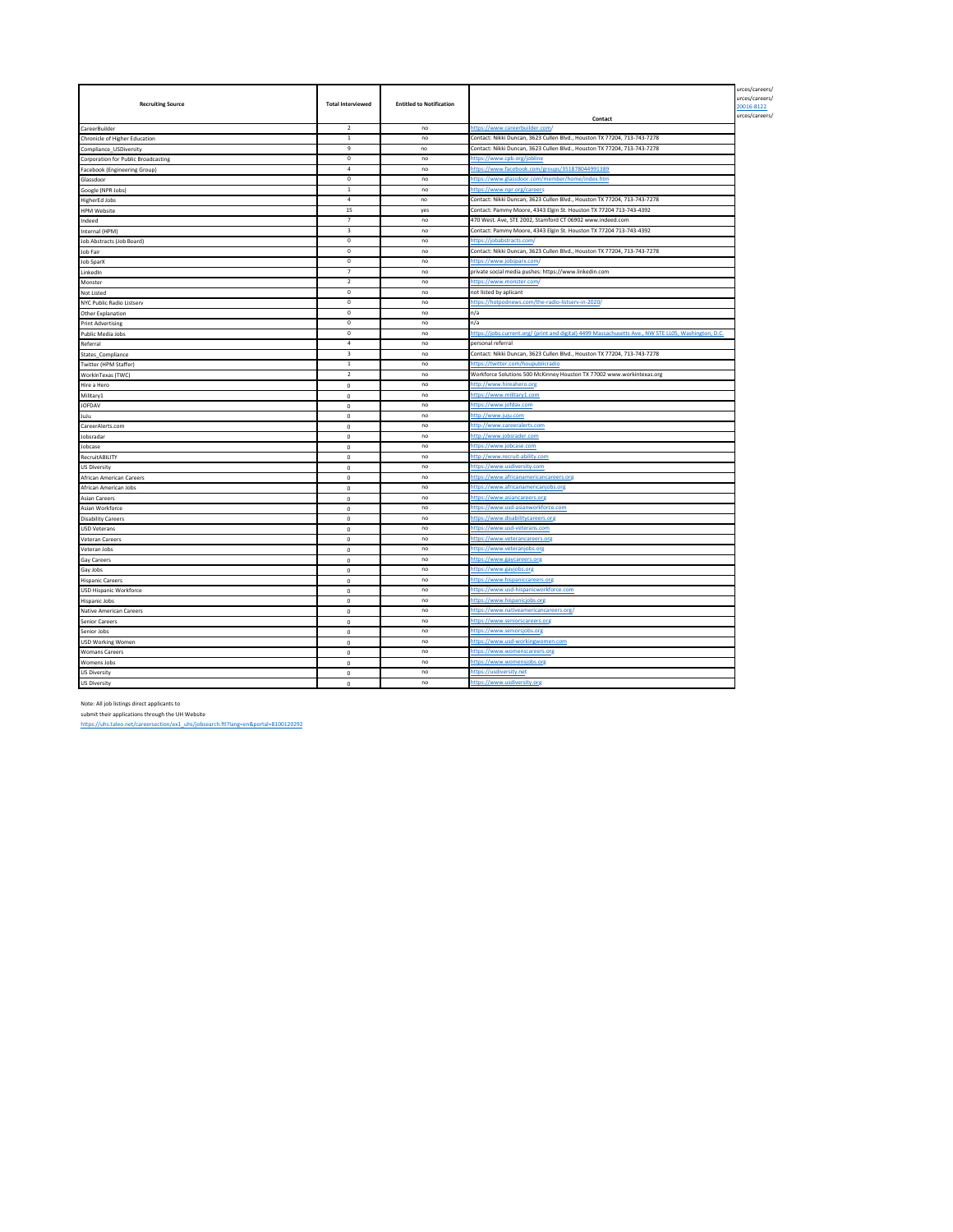| <b>Recruiting Source</b>                   | <b>Total Interviewed</b> | <b>Entitled to Notification</b> |                                                                                                      | urces/careers/<br>urces/careers/<br>20016-8122<br>urces/careers/ |
|--------------------------------------------|--------------------------|---------------------------------|------------------------------------------------------------------------------------------------------|------------------------------------------------------------------|
|                                            | $\overline{2}$           | no                              | Contact<br>https://www.careerbuilder.com/                                                            |                                                                  |
| CareerBuilder                              | $\mathbf{1}$             | no                              | Contact: Nikki Duncan, 3623 Cullen Blvd., Houston TX 77204, 713-743-7278                             |                                                                  |
| Chronicle of Higher Education              | $\mathbf{q}$             | n <sub>0</sub>                  | Contact: Nikki Duncan, 3623 Cullen Blvd., Houston TX 77204, 713-743-7278                             |                                                                  |
| Compliance_USDiversity                     | $^{\circ}$               |                                 |                                                                                                      |                                                                  |
| <b>Corporation for Public Broadcasting</b> | $\mathfrak{a}$           | no<br>no                        | https://www.cpb.org/jobline                                                                          |                                                                  |
| Facebook (Engineering Group)               | $^{\circ}$               |                                 | https://www.facebook.com/groups/351878044991389                                                      |                                                                  |
| Glassdoor                                  |                          | no                              | https://www.glassdoor.com/member/home/index.htm                                                      |                                                                  |
| Google (NPR Jobs)                          | $1\,$                    | no                              | https://www.npr.org/careers                                                                          |                                                                  |
| <b>HigherEd Jobs</b>                       | $\overline{a}$           | no                              | Contact: Nikki Duncan, 3623 Cullen Blvd., Houston TX 77204, 713-743-7278                             |                                                                  |
| <b>HPM Website</b>                         | 15                       | yes                             | Contact: Pammy Moore, 4343 Elgin St. Houston TX 77204 713-743-4392                                   |                                                                  |
| Indeed                                     | $\overline{7}$           | no                              | 470 West. Ave, STE 2002, Stamford CT 06902 www.indeed.com                                            |                                                                  |
| Internal (HPM)                             | 3                        | no                              | Contact: Pammy Moore, 4343 Elgin St. Houston TX 77204 713-743-4392                                   |                                                                  |
| Job Abstracts (Job Board)                  | $\mathbf 0$              | no                              | https://jobabstracts.com/                                                                            |                                                                  |
| Job Fair                                   | $\mathbf 0$              | no                              | Contact: Nikki Duncan, 3623 Cullen Blvd., Houston TX 77204, 713-743-7278                             |                                                                  |
| Job SparX                                  | $\mathbf 0$              | no                              | https://www.iobsparx.com.                                                                            |                                                                  |
| LinkedIn                                   | $\overline{7}$           | no                              | private social media pushes: https://www.linkedin.com                                                |                                                                  |
| Monster                                    | $\overline{2}$           | no                              | https://www.monster.com/                                                                             |                                                                  |
| Not Listed                                 | $^{\circ}$               | no                              | not listed by aplicant                                                                               |                                                                  |
| NYC Public Radio Listserv                  | $\overline{0}$           | no                              | https://hotpodnews.com/the-radio-listserv-in-2020/                                                   |                                                                  |
| Other Explanation                          | $\mathbf 0$              | no                              | n/a                                                                                                  |                                                                  |
| <b>Print Advertising</b>                   | $\Omega$                 | no                              | n/a                                                                                                  |                                                                  |
| Public Media Jobs                          | $\,0\,$                  | no                              | https://jobs.current.org/ (print and digital) 4499 Massachusetts Ave., NW STE LL05, Washington, D.C. |                                                                  |
| Referral                                   | $\sqrt{4}$               | no                              | personal referral                                                                                    |                                                                  |
| States Compliance                          | $\overline{\mathbf{3}}$  | no                              | Contact: Nikki Duncan, 3623 Cullen Blvd., Houston TX 77204, 713-743-7278                             |                                                                  |
| Twitter (HPM Staffer)                      | $\,$ 1                   | no                              | https://twitter.com/houpublicradio                                                                   |                                                                  |
| WorkInTexas (TWC)                          | $\overline{2}$           | no                              | Workforce Solutions 500 McKinney Houston TX 77002 www.workintexas.org                                |                                                                  |
| Hire a Hero                                | $^{\circ}$               | no                              | http://www.hireahero.org                                                                             |                                                                  |
| Military1                                  | $\mathbf 0$              | no                              | https://www.military1.com                                                                            |                                                                  |
| JOFDAV                                     | $\mathbf 0$              | no                              | https://www.jofdav.com                                                                               |                                                                  |
| JuJu                                       | $\mathbf 0$              | no                              | http://www.juju.com                                                                                  |                                                                  |
| CareerAlerts.com                           | $\mathbf 0$              | no                              | http://www.careeralerts.com                                                                          |                                                                  |
| Jobsradar                                  | $\mathbf 0$              | no                              | http://www.jobsrader.com                                                                             |                                                                  |
| Jobcase                                    | $\mathbb O$              | no                              | https://www.jobcase.com                                                                              |                                                                  |
| RecruitABILITY                             | $\mathbf 0$              | no                              | http://www.recruit-ability.con                                                                       |                                                                  |
| <b>US Diversity</b>                        | $\circ$                  | no                              | https://www.usdiversity.com                                                                          |                                                                  |
| African American Careers                   | $\Omega$                 | no                              | https://www.africanamericancareers.org                                                               |                                                                  |
| African American Jobs                      | $\mathbf{0}$             | no                              | https://www.africanamericanjobs.org                                                                  |                                                                  |
| <b>Asian Careers</b>                       | $\circ$                  | no                              | https://www.asiancareers.org                                                                         |                                                                  |
| Asian Workforce                            | $\Omega$                 | no                              | https://www.usd-asianworkforce.com                                                                   |                                                                  |
| <b>Disability Careers</b>                  | $\Omega$                 | no                              | https://www.disabilitycareers.org                                                                    |                                                                  |
| <b>USD Veterans</b>                        | $\mathbf 0$              | no                              | https://www.usd-veterans.com                                                                         |                                                                  |
| Veteran Careers                            | $\mathbf 0$              | no                              | https://www.veterancareers.org                                                                       |                                                                  |
| Veteran Jobs                               | $\mathbf 0$              | no                              | https://www.veteranjobs.org                                                                          |                                                                  |
| Gay Careers                                | $\mathbf 0$              | no                              | https://www.gaycareers.org                                                                           |                                                                  |
| Gay Jobs                                   | $\mathbf 0$              | no                              | https://www.gayjobs.or                                                                               |                                                                  |
| <b>Hispanic Careers</b>                    | $\mathbb O$              | no                              | https://www.hispaniccareers.org                                                                      |                                                                  |
|                                            |                          | no                              | https://www.usd-hispanicworkforce.com                                                                |                                                                  |
| <b>USD Hispanic Workforce</b>              | $\mathbf 0$              |                                 |                                                                                                      |                                                                  |
| <b>Hispanic Jobs</b>                       | $\circ$                  | no                              | https://www.hispanicjobs.org                                                                         |                                                                  |
| <b>Native American Careers</b>             | $\mathbf 0$              | no                              | https://www.nativeamericancareers.org/                                                               |                                                                  |
| <b>Senior Careers</b>                      | $\circ$                  | no                              | https://www.seniorscareers.org                                                                       |                                                                  |
| Senior Jobs                                | $\circ$                  | no                              | https://www.seniorsjobs.org                                                                          |                                                                  |
| <b>USD Working Women</b>                   | $\Omega$                 | no                              | https://www.usd-workingwomen.com                                                                     |                                                                  |
| <b>Womans Careers</b>                      | $^{\circ}$               | no                              | https://www.womenscareers.org                                                                        |                                                                  |
| <b>Womens Jobs</b>                         | $\circ$                  | no                              | https://www.womensjobs.org                                                                           |                                                                  |
| <b>US Diversity</b>                        | $\mathbf 0$              | no                              | https://usdiversity.net                                                                              |                                                                  |
| <b>US Diversity</b>                        | $\pmb{0}$                | no                              | https://www.usdiversity.org                                                                          |                                                                  |

Note: All job listings direct applicants to<br>submit their applications through the UH Website<br>https://uhs.taleo.net/careersection/ex1\_uhs/jobsearch.ftl?lang=en&portal=8100120292